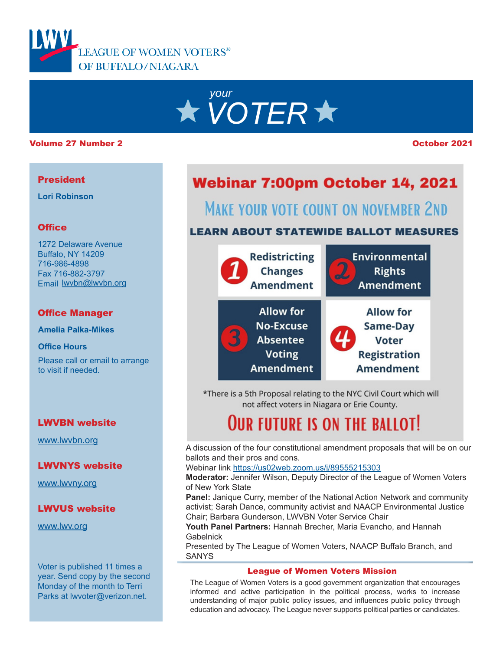



#### Volume 27 Number 2 October 2021

## President

**Lori Robinson**

# **Office**

1272 Delaware Avenue Buffalo, NY 14209 716-986-4898 Fax 716-882-3797 Email lwvbn@lwvbn.org

## Office Manager

**Amelia Palka-Mikes**

**Office Hours**

Please call or email to arrange to visit if needed.

## LWVBN website

[www.lwvbn.org](https://www.lwvbn.org/)

#### LWVNYS website

[www.lwvny.org](https://www.lwvny.org/)

# LWVUS website

[www.lwv.org](https://www.lwv.org/)

Voter is published 11 times a year. Send copy by the second Monday of the month to Terri Parks at [lwvoter@verizon.net](mailto://lwvoter@verizon.net).

# Webinar 7:00pm October 14, 2021

# **MAKE YOUR VOTE COUNT ON NOVEMBER 2ND**

# **LEARN ABOUT STATEWIDE BALLOT MEASURES**



\*There is a 5th Proposal relating to the NYC Civil Court which will not affect voters in Niagara or Erie County.

# **OUR FUTURE IS ON THE BALLOT!**

A discussion of the four constitutional amendment proposals that will be on our ballots and their pros and cons.

#### Webinar link <https://us02web.zoom.us/j/89555215303>

**Moderator:** Jennifer Wilson, Deputy Director of the League of Women Voters of New York State

**Panel:** Janique Curry, member of the National Action Network and community activist; Sarah Dance, community activist and NAACP Environmental Justice Chair; Barbara Gunderson, LWVBN Voter Service Chair

**Youth Panel Partners:** Hannah Brecher, Maria Evancho, and Hannah Gabelnick

Presented by The League of Women Voters, NAACP Buffalo Branch, and **SANYS** 

#### League of Women Voters Mission

The League of Women Voters is a good government organization that encourages informed and active participation in the political process, works to increase understanding of major public policy issues, and influences public policy through education and advocacy. The League never supports political parties or candidates.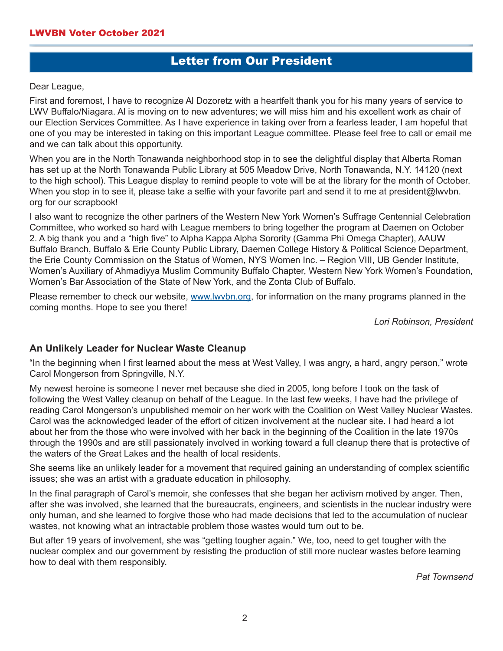# Letter from Our President

Dear League,

First and foremost, I have to recognize Al Dozoretz with a heartfelt thank you for his many years of service to LWV Buffalo/Niagara. Al is moving on to new adventures; we will miss him and his excellent work as chair of our Election Services Committee. As I have experience in taking over from a fearless leader, I am hopeful that one of you may be interested in taking on this important League committee. Please feel free to call or email me and we can talk about this opportunity.

When you are in the North Tonawanda neighborhood stop in to see the delightful display that Alberta Roman has set up at the North Tonawanda Public Library at 505 Meadow Drive, North Tonawanda, N.Y. 14120 (next to the high school). This League display to remind people to vote will be at the library for the month of October. When you stop in to see it, please take a selfie with your favorite part and send it to me at president@lwvbn. org for our scrapbook!

I also want to recognize the other partners of the Western New York Women's Suffrage Centennial Celebration Committee, who worked so hard with League members to bring together the program at Daemen on October 2. A big thank you and a "high five" to Alpha Kappa Alpha Sorority (Gamma Phi Omega Chapter), AAUW Buffalo Branch, Buffalo & Erie County Public Library, Daemen College History & Political Science Department, the Erie County Commission on the Status of Women, NYS Women Inc. – Region VIII, UB Gender Institute, Women's Auxiliary of Ahmadiyya Muslim Community Buffalo Chapter, Western New York Women's Foundation, Women's Bar Association of the State of New York, and the Zonta Club of Buffalo.

Please remember to check our website, [www.lwvbn.org](https://www.lwvbn.org/), for information on the many programs planned in the coming months. Hope to see you there!

*Lori Robinson, President*

# **An Unlikely Leader for Nuclear Waste Cleanup**

"In the beginning when I first learned about the mess at West Valley, I was angry, a hard, angry person," wrote Carol Mongerson from Springville, N.Y.

My newest heroine is someone I never met because she died in 2005, long before I took on the task of following the West Valley cleanup on behalf of the League. In the last few weeks, I have had the privilege of reading Carol Mongerson's unpublished memoir on her work with the Coalition on West Valley Nuclear Wastes. Carol was the acknowledged leader of the effort of citizen involvement at the nuclear site. I had heard a lot about her from the those who were involved with her back in the beginning of the Coalition in the late 1970s through the 1990s and are still passionately involved in working toward a full cleanup there that is protective of the waters of the Great Lakes and the health of local residents.

She seems like an unlikely leader for a movement that required gaining an understanding of complex scientific issues; she was an artist with a graduate education in philosophy.

In the final paragraph of Carol's memoir, she confesses that she began her activism motived by anger. Then, after she was involved, she learned that the bureaucrats, engineers, and scientists in the nuclear industry were only human, and she learned to forgive those who had made decisions that led to the accumulation of nuclear wastes, not knowing what an intractable problem those wastes would turn out to be.

But after 19 years of involvement, she was "getting tougher again." We, too, need to get tougher with the nuclear complex and our government by resisting the production of still more nuclear wastes before learning how to deal with them responsibly.

*Pat Townsend*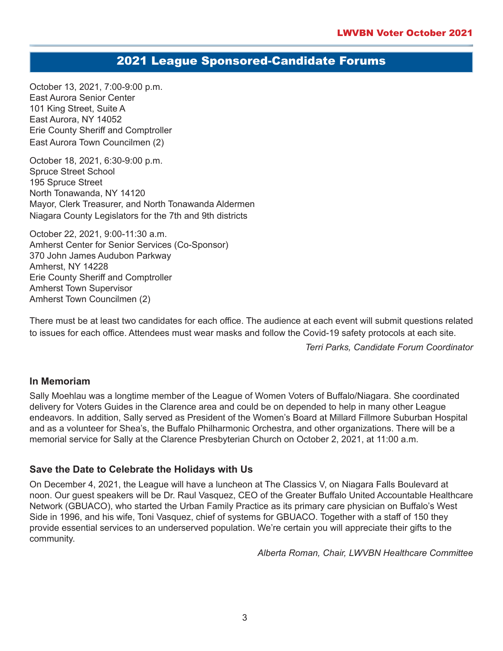# 2021 League Sponsored-Candidate Forums

October 13, 2021, 7:00-9:00 p.m. East Aurora Senior Center 101 King Street, Suite A East Aurora, NY 14052 Erie County Sheriff and Comptroller East Aurora Town Councilmen (2)

October 18, 2021, 6:30-9:00 p.m. Spruce Street School 195 Spruce Street North Tonawanda, NY 14120 Mayor, Clerk Treasurer, and North Tonawanda Aldermen Niagara County Legislators for the 7th and 9th districts

October 22, 2021, 9:00-11:30 a.m. Amherst Center for Senior Services (Co-Sponsor) 370 John James Audubon Parkway Amherst, NY 14228 Erie County Sheriff and Comptroller Amherst Town Supervisor Amherst Town Councilmen (2)

There must be at least two candidates for each office. The audience at each event will submit questions related to issues for each office. Attendees must wear masks and follow the Covid-19 safety protocols at each site.

*Terri Parks, Candidate Forum Coordinator*

## **In Memoriam**

Sally Moehlau was a longtime member of the League of Women Voters of Buffalo/Niagara. She coordinated delivery for Voters Guides in the Clarence area and could be on depended to help in many other League endeavors. In addition, Sally served as President of the Women's Board at Millard Fillmore Suburban Hospital and as a volunteer for Shea's, the Buffalo Philharmonic Orchestra, and other organizations. There will be a memorial service for Sally at the Clarence Presbyterian Church on October 2, 2021, at 11:00 a.m.

## **Save the Date to Celebrate the Holidays with Us**

On December 4, 2021, the League will have a luncheon at The Classics V, on Niagara Falls Boulevard at noon. Our guest speakers will be Dr. Raul Vasquez, CEO of the Greater Buffalo United Accountable Healthcare Network (GBUACO), who started the Urban Family Practice as its primary care physician on Buffalo's West Side in 1996, and his wife, Toni Vasquez, chief of systems for GBUACO. Together with a staff of 150 they provide essential services to an underserved population. We're certain you will appreciate their gifts to the community.

*Alberta Roman, Chair, LWVBN Healthcare Committee*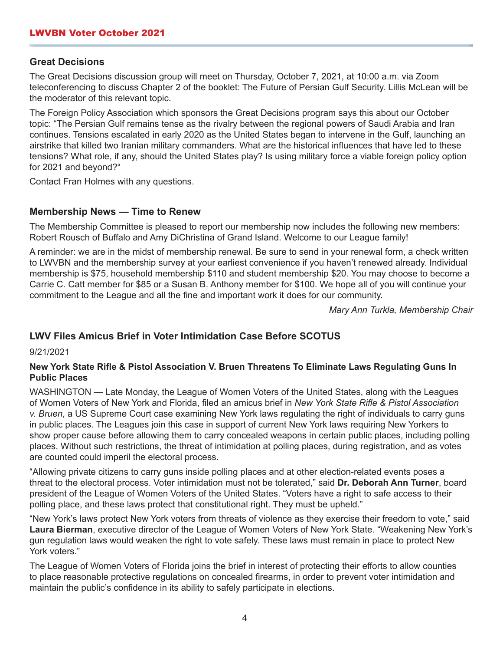# **Great Decisions**

The Great Decisions discussion group will meet on Thursday, October 7, 2021, at 10:00 a.m. via Zoom teleconferencing to discuss Chapter 2 of the booklet: The Future of Persian Gulf Security. Lillis McLean will be the moderator of this relevant topic.

The Foreign Policy Association which sponsors the Great Decisions program says this about our October topic: "The Persian Gulf remains tense as the rivalry between the regional powers of Saudi Arabia and Iran continues. Tensions escalated in early 2020 as the United States began to intervene in the Gulf, launching an airstrike that killed two Iranian military commanders. What are the historical influences that have led to these tensions? What role, if any, should the United States play? Is using military force a viable foreign policy option for 2021 and beyond?"

Contact Fran Holmes with any questions.

# **Membership News — Time to Renew**

The Membership Committee is pleased to report our membership now includes the following new members: Robert Rousch of Buffalo and Amy DiChristina of Grand Island. Welcome to our League family!

A reminder: we are in the midst of membership renewal. Be sure to send in your renewal form, a check written to LWVBN and the membership survey at your earliest convenience if you haven't renewed already. Individual membership is \$75, household membership \$110 and student membership \$20. You may choose to become a Carrie C. Catt member for \$85 or a Susan B. Anthony member for \$100. We hope all of you will continue your commitment to the League and all the fine and important work it does for our community.

*Mary Ann Turkla, Membership Chair*

# **LWV Files Amicus Brief in Voter Intimidation Case Before SCOTUS**

9/21/2021

## **New York State Rifle & Pistol Association V. Bruen Threatens To Eliminate Laws Regulating Guns In Public Places**

WASHINGTON — Late Monday, the League of Women Voters of the United States, along with the Leagues of Women Voters of New York and Florida, filed an amicus brief in *New York State Rifle & Pistol Association v. Bruen*, a US Supreme Court case examining New York laws regulating the right of individuals to carry guns in public places. The Leagues join this case in support of current New York laws requiring New Yorkers to show proper cause before allowing them to carry concealed weapons in certain public places, including polling places. Without such restrictions, the threat of intimidation at polling places, during registration, and as votes are counted could imperil the electoral process.

"Allowing private citizens to carry guns inside polling places and at other election-related events poses a threat to the electoral process. Voter intimidation must not be tolerated," said **Dr. Deborah Ann Turner**, board president of the League of Women Voters of the United States. "Voters have a right to safe access to their polling place, and these laws protect that constitutional right. They must be upheld."

"New York's laws protect New York voters from threats of violence as they exercise their freedom to vote," said **Laura Bierman**, executive director of the League of Women Voters of New York State. "Weakening New York's gun regulation laws would weaken the right to vote safely. These laws must remain in place to protect New York voters."

The League of Women Voters of Florida joins the brief in interest of protecting their efforts to allow counties to place reasonable protective regulations on concealed firearms, in order to prevent voter intimidation and maintain the public's confidence in its ability to safely participate in elections.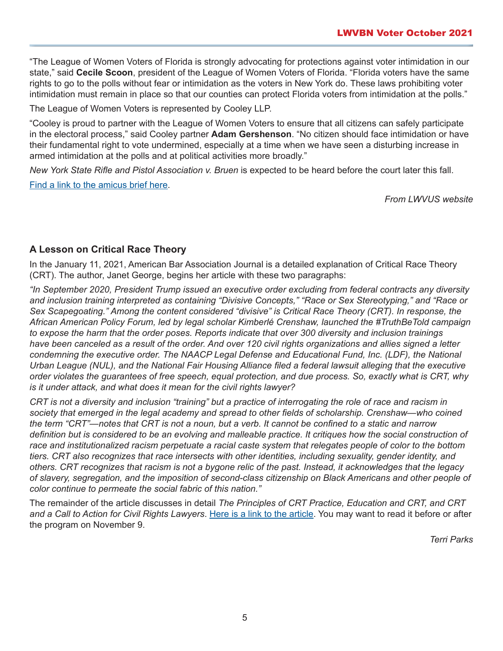"The League of Women Voters of Florida is strongly advocating for protections against voter intimidation in our state," said **Cecile Scoon**, president of the League of Women Voters of Florida. "Florida voters have the same rights to go to the polls without fear or intimidation as the voters in New York do. These laws prohibiting voter intimidation must remain in place so that our counties can protect Florida voters from intimidation at the polls."

The League of Women Voters is represented by Cooley LLP.

"Cooley is proud to partner with the League of Women Voters to ensure that all citizens can safely participate in the electoral process," said Cooley partner **Adam Gershenson**. "No citizen should face intimidation or have their fundamental right to vote undermined, especially at a time when we have seen a disturbing increase in armed intimidation at the polls and at political activities more broadly."

*New York State Rifle and Pistol Association v. Bruen* is expected to be heard before the court later this fall. [Find a link to the amicus brief here](https://www.supremecourt.gov/DocketPDF/20/20-843/193027/20210920161211439_01%20-%20NYSRPA%20v.%20Bruen%20-%20LWV%20Amicus%20-%20Brief.pdf).

*From LWVUS website*

# **A Lesson on Critical Race Theory**

In the January 11, 2021, American Bar Association Journal is a detailed explanation of Critical Race Theory (CRT). The author, Janet George, begins her article with these two paragraphs:

*"In September 2020, President Trump issued an executive order excluding from federal contracts any diversity and inclusion training interpreted as containing "Divisive Concepts," "Race or Sex Stereotyping," and "Race or Sex Scapegoating." Among the content considered "divisive" is Critical Race Theory (CRT). In response, the African American Policy Forum, led by legal scholar Kimberlé Crenshaw, launched the #TruthBeTold campaign to expose the harm that the order poses. Reports indicate that over 300 diversity and inclusion trainings have been canceled as a result of the order. And over 120 civil rights organizations and allies signed a letter condemning the executive order. The NAACP Legal Defense and Educational Fund, Inc. (LDF), the National Urban League (NUL), and the National Fair Housing Alliance filed a federal lawsuit alleging that the executive order violates the guarantees of free speech, equal protection, and due process. So, exactly what is CRT, why is it under attack, and what does it mean for the civil rights lawyer?*

*CRT is not a diversity and inclusion "training" but a practice of interrogating the role of race and racism in society that emerged in the legal academy and spread to other fields of scholarship. Crenshaw—who coined the term "CRT"—notes that CRT is not a noun, but a verb. It cannot be confined to a static and narrow*  definition but is considered to be an evolving and malleable practice. It critiques how the social construction of *race and institutionalized racism perpetuate a racial caste system that relegates people of color to the bottom tiers. CRT also recognizes that race intersects with other identities, including sexuality, gender identity, and others. CRT recognizes that racism is not a bygone relic of the past. Instead, it acknowledges that the legacy of slavery, segregation, and the imposition of second-class citizenship on Black Americans and other people of color continue to permeate the social fabric of this nation."*

The remainder of the article discusses in detail *The Principles of CRT Practice, Education and CRT, and CRT and a Call to Action for Civil Rights Lawyers*. [Here is a link to the article](https://www.americanbar.org/groups/crsj/publications/human_rights_magazine_home/civil-rights-reimagining-policing/a-lesson-on-critical-race-theory/). You may want to read it before or after the program on November 9.

*Terri Parks*